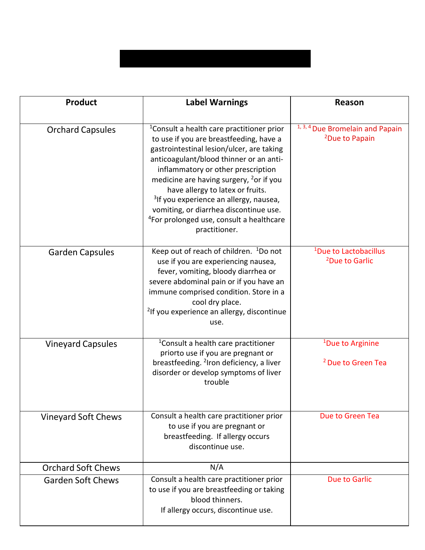